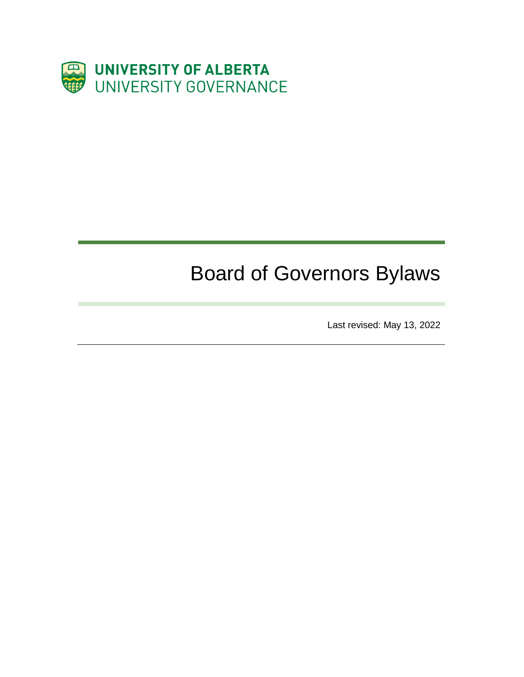

# Board of Governors Bylaws

Last revised: May 13, 2022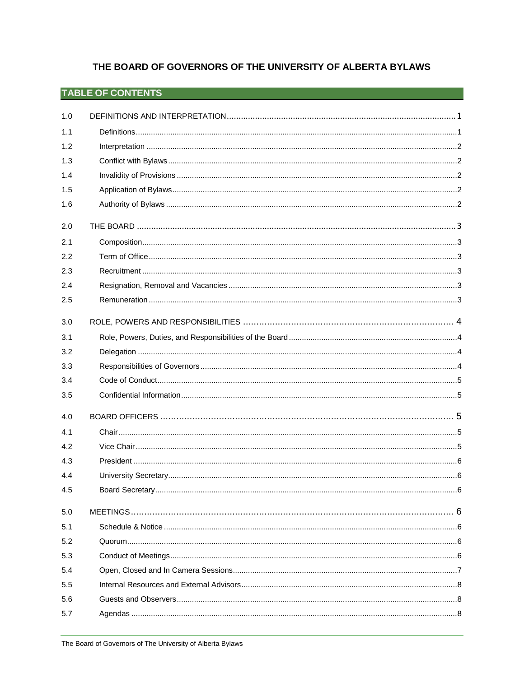# THE BOARD OF GOVERNORS OF THE UNIVERSITY OF ALBERTA BYLAWS

# **TABLE OF CONTENTS**

| 1.0 |  |
|-----|--|
| 1.1 |  |
| 1.2 |  |
| 1.3 |  |
| 1.4 |  |
| 1.5 |  |
| 1.6 |  |
| 2.0 |  |
| 2.1 |  |
| 2.2 |  |
| 2.3 |  |
| 2.4 |  |
| 2.5 |  |
| 3.0 |  |
| 3.1 |  |
| 3.2 |  |
| 3.3 |  |
| 3.4 |  |
| 3.5 |  |
| 4.0 |  |
| 4.1 |  |
| 4.2 |  |
| 4.3 |  |
| 4.4 |  |
| 4.5 |  |
| 5.0 |  |
| 5.1 |  |
| 5.2 |  |
| 5.3 |  |
| 5.4 |  |
| 5.5 |  |
| 5.6 |  |
| 5.7 |  |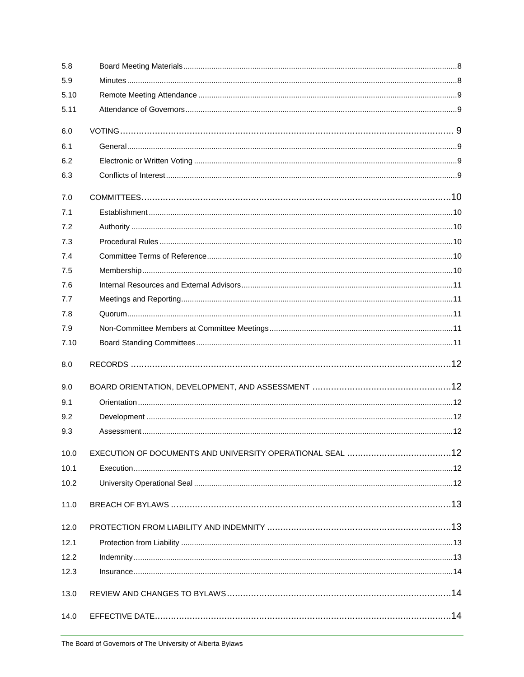| 5.8  |  |
|------|--|
| 5.9  |  |
| 5.10 |  |
| 5.11 |  |
| 6.0  |  |
| 6.1  |  |
| 6.2  |  |
| 6.3  |  |
| 7.0  |  |
| 7.1  |  |
| 7.2  |  |
| 7.3  |  |
| 7.4  |  |
| 7.5  |  |
| 7.6  |  |
| 7.7  |  |
| 7.8  |  |
| 7.9  |  |
| 7.10 |  |
| 8.0  |  |
| 9.0  |  |
| 9.1  |  |
| 9.2  |  |
| 9.3  |  |
| 10.0 |  |
| 10.1 |  |
| 10.2 |  |
| 11.0 |  |
| 12.0 |  |
| 12.1 |  |
| 12.2 |  |
| 12.3 |  |
| 13.0 |  |
| 14.0 |  |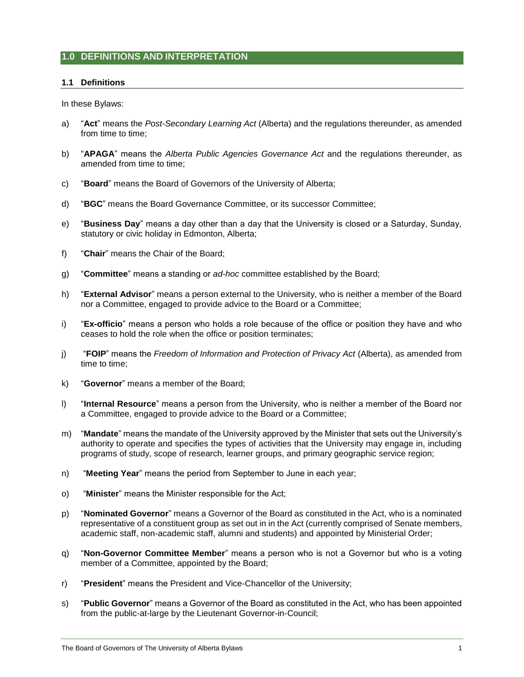# <span id="page-3-1"></span><span id="page-3-0"></span>**1.0 DEFINITIONS AND INTERPRETATION**

# **1.1 Definitions**

In these Bylaws:

- a) "**Act**" means the *Post-Secondary Learning Act* (Alberta) and the regulations thereunder, as amended from time to time;
- b) "**APAGA**" means the *Alberta Public Agencies Governance Act* and the regulations thereunder, as amended from time to time;
- c) "**Board**" means the Board of Governors of the University of Alberta;
- d) "**BGC**" means the Board Governance Committee, or its successor Committee;
- e) "**Business Day**" means a day other than a day that the University is closed or a Saturday, Sunday, statutory or civic holiday in Edmonton, Alberta;
- f) "**Chair**" means the Chair of the Board;
- g) "**Committee**" means a standing or *ad-hoc* committee established by the Board;
- h) "**External Advisor**" means a person external to the University, who is neither a member of the Board nor a Committee, engaged to provide advice to the Board or a Committee;
- i) "**Ex-officio**" means a person who holds a role because of the office or position they have and who ceases to hold the role when the office or position terminates;
- j) "**FOIP**" means the *Freedom of Information and Protection of Privacy Act* (Alberta), as amended from time to time;
- k) "**Governor**" means a member of the Board;
- l) "**Internal Resource**" means a person from the University, who is neither a member of the Board nor a Committee, engaged to provide advice to the Board or a Committee;
- m) "**Mandate**" means the mandate of the University approved by the Minister that sets out the University's authority to operate and specifies the types of activities that the University may engage in, including programs of study, scope of research, learner groups, and primary geographic service region;
- n) "**Meeting Year**" means the period from September to June in each year;
- o) "**Minister**" means the Minister responsible for the Act;
- p) "**Nominated Governor**" means a Governor of the Board as constituted in the Act, who is a nominated representative of a constituent group as set out in in the Act (currently comprised of Senate members, academic staff, non-academic staff, alumni and students) and appointed by Ministerial Order;
- q) "**Non-Governor Committee Member**" means a person who is not a Governor but who is a voting member of a Committee, appointed by the Board;
- r) "**President**" means the President and Vice-Chancellor of the University;
- s) "**Public Governor**" means a Governor of the Board as constituted in the Act, who has been appointed from the public-at-large by the Lieutenant Governor-in-Council;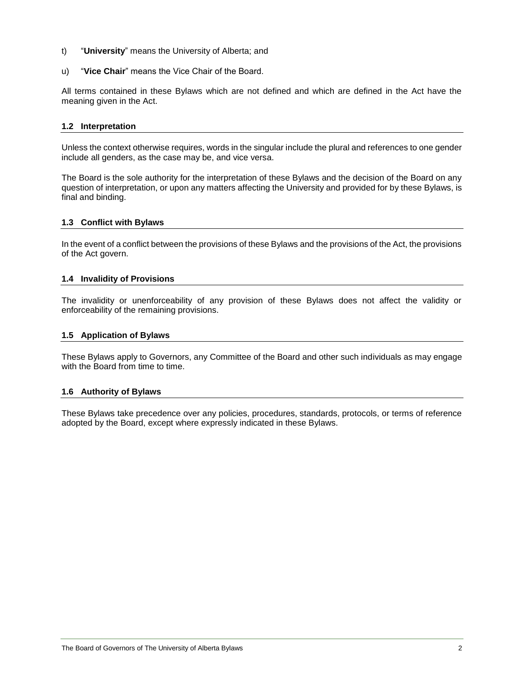- t) "**University**" means the University of Alberta; and
- u) "**Vice Chair**" means the Vice Chair of the Board.

All terms contained in these Bylaws which are not defined and which are defined in the Act have the meaning given in the Act.

# <span id="page-4-0"></span>**1.2 Interpretation**

Unless the context otherwise requires, words in the singular include the plural and references to one gender include all genders, as the case may be, and vice versa.

The Board is the sole authority for the interpretation of these Bylaws and the decision of the Board on any question of interpretation, or upon any matters affecting the University and provided for by these Bylaws, is final and binding.

# <span id="page-4-1"></span>**1.3 Conflict with Bylaws**

In the event of a conflict between the provisions of these Bylaws and the provisions of the Act, the provisions of the Act govern.

# <span id="page-4-2"></span>**1.4 Invalidity of Provisions**

The invalidity or unenforceability of any provision of these Bylaws does not affect the validity or enforceability of the remaining provisions.

# <span id="page-4-3"></span>**1.5 Application of Bylaws**

These Bylaws apply to Governors, any Committee of the Board and other such individuals as may engage with the Board from time to time.

#### <span id="page-4-4"></span>**1.6 Authority of Bylaws**

These Bylaws take precedence over any policies, procedures, standards, protocols, or terms of reference adopted by the Board, except where expressly indicated in these Bylaws.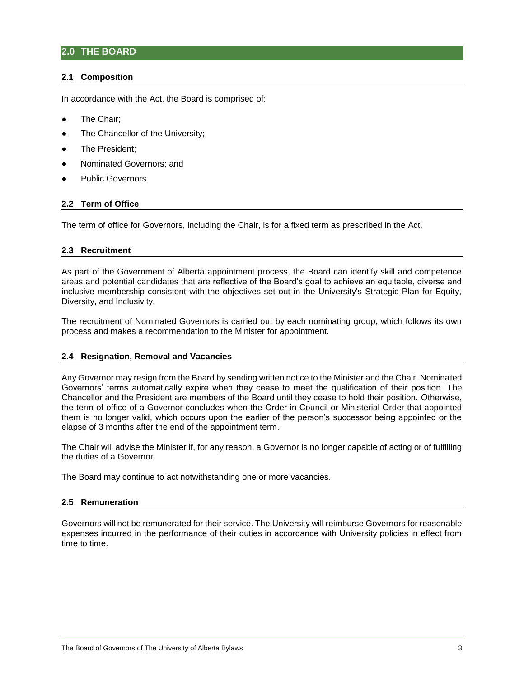# <span id="page-5-0"></span>**2.0 THE BOARD**

## <span id="page-5-1"></span>**2.1 Composition**

In accordance with the Act, the Board is comprised of:

- The Chair:
- The Chancellor of the University;
- The President;
- Nominated Governors; and
- Public Governors.

# <span id="page-5-2"></span>**2.2 Term of Office**

The term of office for Governors, including the Chair, is for a fixed term as prescribed in the Act.

#### <span id="page-5-3"></span>**2.3 Recruitment**

As part of the Government of Alberta appointment process, the Board can identify skill and competence areas and potential candidates that are reflective of the Board's goal to achieve an equitable, diverse and inclusive membership consistent with the objectives set out in the University's Strategic Plan for Equity, Diversity, and Inclusivity.

The recruitment of Nominated Governors is carried out by each nominating group, which follows its own process and makes a recommendation to the Minister for appointment.

#### <span id="page-5-4"></span>**2.4 Resignation, Removal and Vacancies**

Any Governor may resign from the Board by sending written notice to the Minister and the Chair. Nominated Governors' terms automatically expire when they cease to meet the qualification of their position. The Chancellor and the President are members of the Board until they cease to hold their position. Otherwise, the term of office of a Governor concludes when the Order-in-Council or Ministerial Order that appointed them is no longer valid, which occurs upon the earlier of the person's successor being appointed or the elapse of 3 months after the end of the appointment term.

The Chair will advise the Minister if, for any reason, a Governor is no longer capable of acting or of fulfilling the duties of a Governor.

The Board may continue to act notwithstanding one or more vacancies.

#### <span id="page-5-5"></span>**2.5 Remuneration**

Governors will not be remunerated for their service. The University will reimburse Governors for reasonable expenses incurred in the performance of their duties in accordance with University policies in effect from time to time.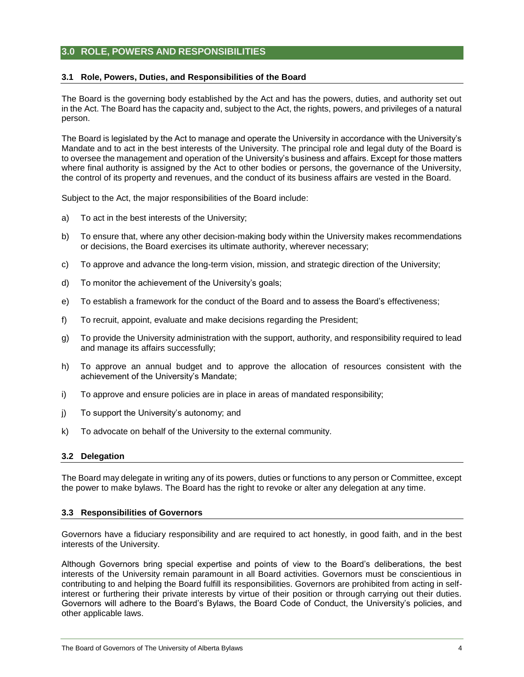# <span id="page-6-0"></span>**3.0 ROLE, POWERS AND RESPONSIBILITIES**

## <span id="page-6-1"></span>**3.1 Role, Powers, Duties, and Responsibilities of the Board**

The Board is the governing body established by the Act and has the powers, duties, and authority set out in the Act. The Board has the capacity and, subject to the Act, the rights, powers, and privileges of a natural person.

The Board is legislated by the Act to manage and operate the University in accordance with the University's Mandate and to act in the best interests of the University. The principal role and legal duty of the Board is to oversee the management and operation of the University's business and affairs. Except for those matters where final authority is assigned by the Act to other bodies or persons, the governance of the University, the control of its property and revenues, and the conduct of its business affairs are vested in the Board.

Subject to the Act, the major responsibilities of the Board include:

- a) To act in the best interests of the University;
- b) To ensure that, where any other decision-making body within the University makes recommendations or decisions, the Board exercises its ultimate authority, wherever necessary;
- c) To approve and advance the long-term vision, mission, and strategic direction of the University;
- d) To monitor the achievement of the University's goals;
- e) To establish a framework for the conduct of the Board and to assess the Board's effectiveness;
- f) To recruit, appoint, evaluate and make decisions regarding the President;
- g) To provide the University administration with the support, authority, and responsibility required to lead and manage its affairs successfully;
- h) To approve an annual budget and to approve the allocation of resources consistent with the achievement of the University's Mandate;
- i) To approve and ensure policies are in place in areas of mandated responsibility;
- j) To support the University's autonomy; and
- k) To advocate on behalf of the University to the external community.

#### <span id="page-6-2"></span>**3.2 Delegation**

The Board may delegate in writing any of its powers, duties or functions to any person or Committee, except the power to make bylaws. The Board has the right to revoke or alter any delegation at any time.

#### <span id="page-6-3"></span>**3.3 Responsibilities of Governors**

Governors have a fiduciary responsibility and are required to act honestly, in good faith, and in the best interests of the University.

Although Governors bring special expertise and points of view to the Board's deliberations, the best interests of the University remain paramount in all Board activities. Governors must be conscientious in contributing to and helping the Board fulfill its responsibilities. Governors are prohibited from acting in selfinterest or furthering their private interests by virtue of their position or through carrying out their duties. Governors will adhere to the Board's Bylaws, the Board Code of Conduct, the University's policies, and other applicable laws.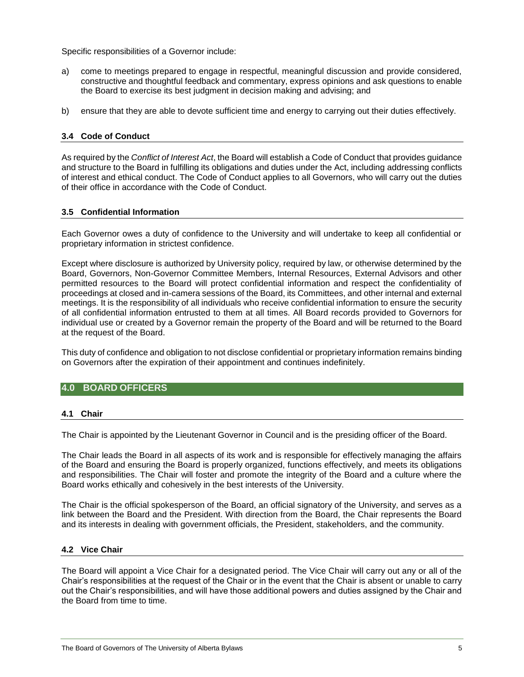Specific responsibilities of a Governor include:

- a) come to meetings prepared to engage in respectful, meaningful discussion and provide considered, constructive and thoughtful feedback and commentary, express opinions and ask questions to enable the Board to exercise its best judgment in decision making and advising; and
- b) ensure that they are able to devote sufficient time and energy to carrying out their duties effectively.

# <span id="page-7-0"></span>**3.4 Code of Conduct**

As required by the *Conflict of Interest Act*, the Board will establish a Code of Conduct that provides guidance and structure to the Board in fulfilling its obligations and duties under the Act, including addressing conflicts of interest and ethical conduct. The Code of Conduct applies to all Governors, who will carry out the duties of their office in accordance with the Code of Conduct.

# <span id="page-7-1"></span>**3.5 Confidential Information**

Each Governor owes a duty of confidence to the University and will undertake to keep all confidential or proprietary information in strictest confidence.

Except where disclosure is authorized by University policy, required by law, or otherwise determined by the Board, Governors, Non-Governor Committee Members, Internal Resources, External Advisors and other permitted resources to the Board will protect confidential information and respect the confidentiality of proceedings at closed and in-camera sessions of the Board, its Committees, and other internal and external meetings. It is the responsibility of all individuals who receive confidential information to ensure the security of all confidential information entrusted to them at all times. All Board records provided to Governors for individual use or created by a Governor remain the property of the Board and will be returned to the Board at the request of the Board.

This duty of confidence and obligation to not disclose confidential or proprietary information remains binding on Governors after the expiration of their appointment and continues indefinitely.

## <span id="page-7-3"></span><span id="page-7-2"></span>**4.0 BOARD OFFICERS**

#### **4.1 Chair**

The Chair is appointed by the Lieutenant Governor in Council and is the presiding officer of the Board.

The Chair leads the Board in all aspects of its work and is responsible for effectively managing the affairs of the Board and ensuring the Board is properly organized, functions effectively, and meets its obligations and responsibilities. The Chair will foster and promote the integrity of the Board and a culture where the Board works ethically and cohesively in the best interests of the University.

The Chair is the official spokesperson of the Board, an official signatory of the University, and serves as a link between the Board and the President. With direction from the Board, the Chair represents the Board and its interests in dealing with government officials, the President, stakeholders, and the community.

# <span id="page-7-4"></span>**4.2 Vice Chair**

The Board will appoint a Vice Chair for a designated period. The Vice Chair will carry out any or all of the Chair's responsibilities at the request of the Chair or in the event that the Chair is absent or unable to carry out the Chair's responsibilities, and will have those additional powers and duties assigned by the Chair and the Board from time to time.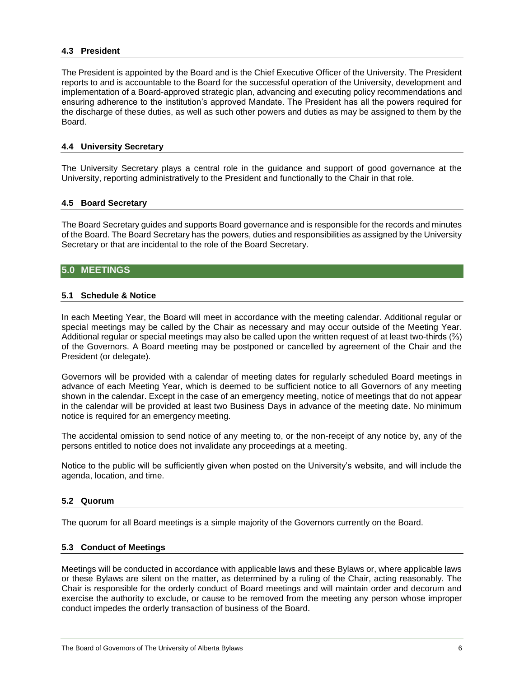#### <span id="page-8-0"></span>**4.3 President**

The President is appointed by the Board and is the Chief Executive Officer of the University. The President reports to and is accountable to the Board for the successful operation of the University, development and implementation of a Board-approved strategic plan, advancing and executing policy recommendations and ensuring adherence to the institution's approved Mandate. The President has all the powers required for the discharge of these duties, as well as such other powers and duties as may be assigned to them by the Board.

#### <span id="page-8-1"></span>**4.4 University Secretary**

The University Secretary plays a central role in the guidance and support of good governance at the University, reporting administratively to the President and functionally to the Chair in that role.

## <span id="page-8-2"></span>**4.5 Board Secretary**

The Board Secretary guides and supports Board governance and is responsible for the records and minutes of the Board. The Board Secretary has the powers, duties and responsibilities as assigned by the University Secretary or that are incidental to the role of the Board Secretary.

#### <span id="page-8-4"></span><span id="page-8-3"></span>**5.0 MEETINGS**

#### **5.1 Schedule & Notice**

In each Meeting Year, the Board will meet in accordance with the meeting calendar. Additional regular or special meetings may be called by the Chair as necessary and may occur outside of the Meeting Year. Additional regular or special meetings may also be called upon the written request of at least two-thirds (⅔) of the Governors. A Board meeting may be postponed or cancelled by agreement of the Chair and the President (or delegate).

Governors will be provided with a calendar of meeting dates for regularly scheduled Board meetings in advance of each Meeting Year, which is deemed to be sufficient notice to all Governors of any meeting shown in the calendar. Except in the case of an emergency meeting, notice of meetings that do not appear in the calendar will be provided at least two Business Days in advance of the meeting date. No minimum notice is required for an emergency meeting.

The accidental omission to send notice of any meeting to, or the non-receipt of any notice by, any of the persons entitled to notice does not invalidate any proceedings at a meeting.

Notice to the public will be sufficiently given when posted on the University's website, and will include the agenda, location, and time.

#### <span id="page-8-5"></span>**5.2 Quorum**

The quorum for all Board meetings is a simple majority of the Governors currently on the Board.

#### <span id="page-8-6"></span>**5.3 Conduct of Meetings**

Meetings will be conducted in accordance with applicable laws and these Bylaws or, where applicable laws or these Bylaws are silent on the matter, as determined by a ruling of the Chair, acting reasonably. The Chair is responsible for the orderly conduct of Board meetings and will maintain order and decorum and exercise the authority to exclude, or cause to be removed from the meeting any person whose improper conduct impedes the orderly transaction of business of the Board.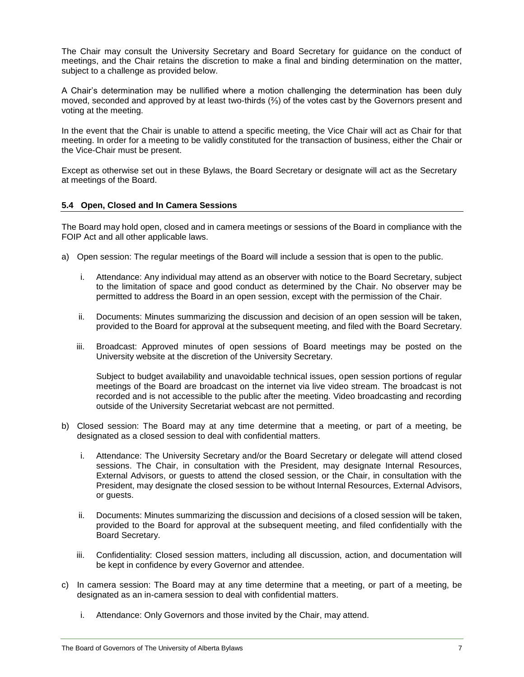The Chair may consult the University Secretary and Board Secretary for guidance on the conduct of meetings, and the Chair retains the discretion to make a final and binding determination on the matter, subject to a challenge as provided below.

A Chair's determination may be nullified where a motion challenging the determination has been duly moved, seconded and approved by at least two-thirds (⅔) of the votes cast by the Governors present and voting at the meeting.

In the event that the Chair is unable to attend a specific meeting, the Vice Chair will act as Chair for that meeting. In order for a meeting to be validly constituted for the transaction of business, either the Chair or the Vice-Chair must be present.

Except as otherwise set out in these Bylaws, the Board Secretary or designate will act as the Secretary at meetings of the Board.

# <span id="page-9-0"></span>**5.4 Open, Closed and In Camera Sessions**

The Board may hold open, closed and in camera meetings or sessions of the Board in compliance with the FOIP Act and all other applicable laws.

- a) Open session: The regular meetings of the Board will include a session that is open to the public.
	- i. Attendance: Any individual may attend as an observer with notice to the Board Secretary, subject to the limitation of space and good conduct as determined by the Chair. No observer may be permitted to address the Board in an open session, except with the permission of the Chair.
	- ii. Documents: Minutes summarizing the discussion and decision of an open session will be taken, provided to the Board for approval at the subsequent meeting, and filed with the Board Secretary.
	- iii. Broadcast: Approved minutes of open sessions of Board meetings may be posted on the University website at the discretion of the University Secretary.

Subject to budget availability and unavoidable technical issues, open session portions of regular meetings of the Board are broadcast on the internet via live video stream. The broadcast is not recorded and is not accessible to the public after the meeting. Video broadcasting and recording outside of the University Secretariat webcast are not permitted.

- b) Closed session: The Board may at any time determine that a meeting, or part of a meeting, be designated as a closed session to deal with confidential matters.
	- i. Attendance: The University Secretary and/or the Board Secretary or delegate will attend closed sessions. The Chair, in consultation with the President, may designate Internal Resources, External Advisors, or guests to attend the closed session, or the Chair, in consultation with the President, may designate the closed session to be without Internal Resources, External Advisors, or guests.
	- ii. Documents: Minutes summarizing the discussion and decisions of a closed session will be taken, provided to the Board for approval at the subsequent meeting, and filed confidentially with the Board Secretary.
	- iii. Confidentiality: Closed session matters, including all discussion, action, and documentation will be kept in confidence by every Governor and attendee.
- c) In camera session: The Board may at any time determine that a meeting, or part of a meeting, be designated as an in-camera session to deal with confidential matters.
	- i. Attendance: Only Governors and those invited by the Chair, may attend.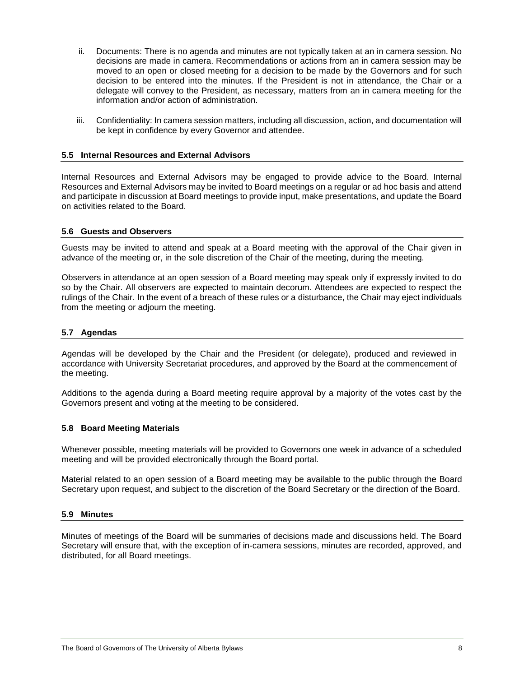- ii. Documents: There is no agenda and minutes are not typically taken at an in camera session. No decisions are made in camera. Recommendations or actions from an in camera session may be moved to an open or closed meeting for a decision to be made by the Governors and for such decision to be entered into the minutes. If the President is not in attendance, the Chair or a delegate will convey to the President, as necessary, matters from an in camera meeting for the information and/or action of administration.
- iii. Confidentiality: In camera session matters, including all discussion, action, and documentation will be kept in confidence by every Governor and attendee.

#### <span id="page-10-0"></span>**5.5 Internal Resources and External Advisors**

Internal Resources and External Advisors may be engaged to provide advice to the Board. Internal Resources and External Advisors may be invited to Board meetings on a regular or ad hoc basis and attend and participate in discussion at Board meetings to provide input, make presentations, and update the Board on activities related to the Board.

#### <span id="page-10-1"></span>**5.6 Guests and Observers**

Guests may be invited to attend and speak at a Board meeting with the approval of the Chair given in advance of the meeting or, in the sole discretion of the Chair of the meeting, during the meeting.

Observers in attendance at an open session of a Board meeting may speak only if expressly invited to do so by the Chair. All observers are expected to maintain decorum. Attendees are expected to respect the rulings of the Chair. In the event of a breach of these rules or a disturbance, the Chair may eject individuals from the meeting or adjourn the meeting.

#### <span id="page-10-2"></span>**5.7 Agendas**

Agendas will be developed by the Chair and the President (or delegate), produced and reviewed in accordance with University Secretariat procedures, and approved by the Board at the commencement of the meeting.

Additions to the agenda during a Board meeting require approval by a majority of the votes cast by the Governors present and voting at the meeting to be considered.

#### <span id="page-10-3"></span>**5.8 Board Meeting Materials**

Whenever possible, meeting materials will be provided to Governors one week in advance of a scheduled meeting and will be provided electronically through the Board portal.

Material related to an open session of a Board meeting may be available to the public through the Board Secretary upon request, and subject to the discretion of the Board Secretary or the direction of the Board.

#### <span id="page-10-4"></span>**5.9 Minutes**

Minutes of meetings of the Board will be summaries of decisions made and discussions held. The Board Secretary will ensure that, with the exception of in-camera sessions, minutes are recorded, approved, and distributed, for all Board meetings.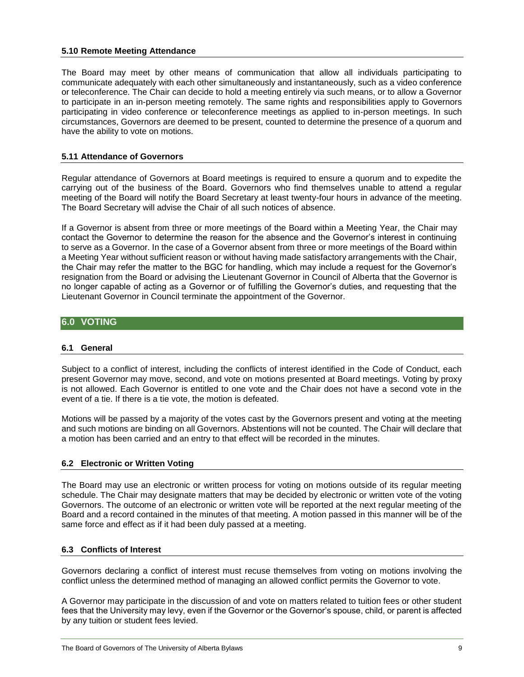#### <span id="page-11-0"></span>**5.10 Remote Meeting Attendance**

The Board may meet by other means of communication that allow all individuals participating to communicate adequately with each other simultaneously and instantaneously, such as a video conference or teleconference. The Chair can decide to hold a meeting entirely via such means, or to allow a Governor to participate in an in-person meeting remotely. The same rights and responsibilities apply to Governors participating in video conference or teleconference meetings as applied to in-person meetings. In such circumstances, Governors are deemed to be present, counted to determine the presence of a quorum and have the ability to vote on motions.

## <span id="page-11-1"></span>**5.11 Attendance of Governors**

Regular attendance of Governors at Board meetings is required to ensure a quorum and to expedite the carrying out of the business of the Board. Governors who find themselves unable to attend a regular meeting of the Board will notify the Board Secretary at least twenty-four hours in advance of the meeting. The Board Secretary will advise the Chair of all such notices of absence.

If a Governor is absent from three or more meetings of the Board within a Meeting Year, the Chair may contact the Governor to determine the reason for the absence and the Governor's interest in continuing to serve as a Governor. In the case of a Governor absent from three or more meetings of the Board within a Meeting Year without sufficient reason or without having made satisfactory arrangements with the Chair, the Chair may refer the matter to the BGC for handling, which may include a request for the Governor's resignation from the Board or advising the Lieutenant Governor in Council of Alberta that the Governor is no longer capable of acting as a Governor or of fulfilling the Governor's duties, and requesting that the Lieutenant Governor in Council terminate the appointment of the Governor.

# <span id="page-11-2"></span>**6.0 VOTING**

#### <span id="page-11-3"></span>**6.1 General**

Subject to a conflict of interest, including the conflicts of interest identified in the Code of Conduct, each present Governor may move, second, and vote on motions presented at Board meetings. Voting by proxy is not allowed. Each Governor is entitled to one vote and the Chair does not have a second vote in the event of a tie. If there is a tie vote, the motion is defeated.

Motions will be passed by a majority of the votes cast by the Governors present and voting at the meeting and such motions are binding on all Governors. Abstentions will not be counted. The Chair will declare that a motion has been carried and an entry to that effect will be recorded in the minutes.

# <span id="page-11-4"></span>**6.2 Electronic or Written Voting**

The Board may use an electronic or written process for voting on motions outside of its regular meeting schedule. The Chair may designate matters that may be decided by electronic or written vote of the voting Governors. The outcome of an electronic or written vote will be reported at the next regular meeting of the Board and a record contained in the minutes of that meeting. A motion passed in this manner will be of the same force and effect as if it had been duly passed at a meeting.

# **6.3 Conflicts of Interest**

Governors declaring a conflict of interest must recuse themselves from voting on motions involving the conflict unless the determined method of managing an allowed conflict permits the Governor to vote.

A Governor may participate in the discussion of and vote on matters related to tuition fees or other student fees that the University may levy, even if the Governor or the Governor's spouse, child, or parent is affected by any tuition or student fees levied.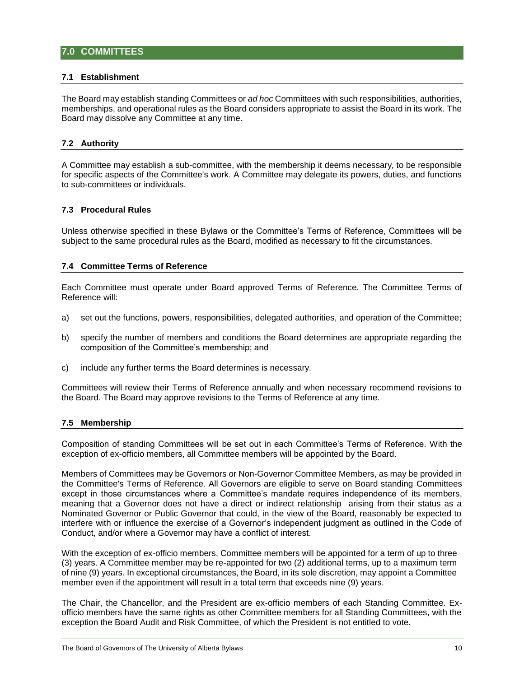# <span id="page-12-0"></span>**7.0 COMMITTEES**

#### <span id="page-12-1"></span>**7.1 Establishment**

The Board may establish standing Committees or *ad hoc* Committees with such responsibilities, authorities, memberships, and operational rules as the Board considers appropriate to assist the Board in its work. The Board may dissolve any Committee at any time.

## <span id="page-12-2"></span>**7.2 Authority**

A Committee may establish a sub-committee, with the membership it deems necessary, to be responsible for specific aspects of the Committee's work. A Committee may delegate its powers, duties, and functions to sub-committees or individuals.

#### <span id="page-12-3"></span>**7.3 Procedural Rules**

Unless otherwise specified in these Bylaws or the Committee's Terms of Reference, Committees will be subject to the same procedural rules as the Board, modified as necessary to fit the circumstances.

#### <span id="page-12-4"></span>**7.4 Committee Terms of Reference**

Each Committee must operate under Board approved Terms of Reference. The Committee Terms of Reference will:

- a) set out the functions, powers, responsibilities, delegated authorities, and operation of the Committee;
- b) specify the number of members and conditions the Board determines are appropriate regarding the composition of the Committee's membership; and
- c) include any further terms the Board determines is necessary.

Committees will review their Terms of Reference annually and when necessary recommend revisions to the Board. The Board may approve revisions to the Terms of Reference at any time.

#### <span id="page-12-5"></span>**7.5 Membership**

Composition of standing Committees will be set out in each Committee's Terms of Reference. With the exception of ex-officio members, all Committee members will be appointed by the Board.

Members of Committees may be Governors or Non-Governor Committee Members, as may be provided in the Committee's Terms of Reference. All Governors are eligible to serve on Board standing Committees except in those circumstances where a Committee's mandate requires independence of its members, meaning that a Governor does not have a direct or indirect relationship arising from their status as a Nominated Governor or Public Governor that could, in the view of the Board, reasonably be expected to interfere with or influence the exercise of a Governor's independent judgment as outlined in the Code of Conduct, and/or where a Governor may have a conflict of interest.

With the exception of ex-officio members, Committee members will be appointed for a term of up to three (3) years. A Committee member may be re-appointed for two (2) additional terms, up to a maximum term of nine (9) years. In exceptional circumstances, the Board, in its sole discretion, may appoint a Committee member even if the appointment will result in a total term that exceeds nine (9) years.

The Chair, the Chancellor, and the President are ex-officio members of each Standing Committee. Exofficio members have the same rights as other Committee members for all Standing Committees, with the exception the Board Audit and Risk Committee, of which the President is not entitled to vote.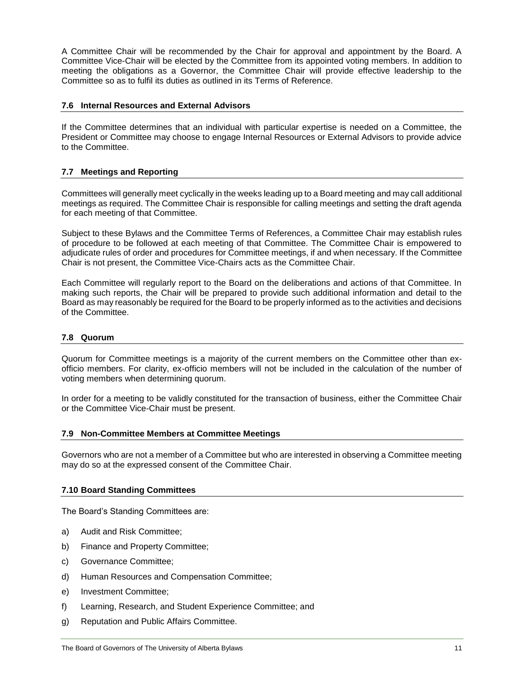A Committee Chair will be recommended by the Chair for approval and appointment by the Board. A Committee Vice-Chair will be elected by the Committee from its appointed voting members. In addition to meeting the obligations as a Governor, the Committee Chair will provide effective leadership to the Committee so as to fulfil its duties as outlined in its Terms of Reference.

# <span id="page-13-0"></span>**7.6 Internal Resources and External Advisors**

If the Committee determines that an individual with particular expertise is needed on a Committee, the President or Committee may choose to engage Internal Resources or External Advisors to provide advice to the Committee.

# <span id="page-13-1"></span>**7.7 Meetings and Reporting**

Committees will generally meet cyclically in the weeks leading up to a Board meeting and may call additional meetings as required. The Committee Chair is responsible for calling meetings and setting the draft agenda for each meeting of that Committee.

Subject to these Bylaws and the Committee Terms of References, a Committee Chair may establish rules of procedure to be followed at each meeting of that Committee. The Committee Chair is empowered to adjudicate rules of order and procedures for Committee meetings, if and when necessary. If the Committee Chair is not present, the Committee Vice-Chairs acts as the Committee Chair.

Each Committee will regularly report to the Board on the deliberations and actions of that Committee. In making such reports, the Chair will be prepared to provide such additional information and detail to the Board as may reasonably be required for the Board to be properly informed as to the activities and decisions of the Committee.

# <span id="page-13-2"></span>**7.8 Quorum**

Quorum for Committee meetings is a majority of the current members on the Committee other than exofficio members. For clarity, ex-officio members will not be included in the calculation of the number of voting members when determining quorum.

In order for a meeting to be validly constituted for the transaction of business, either the Committee Chair or the Committee Vice-Chair must be present.

#### <span id="page-13-3"></span>**7.9 Non-Committee Members at Committee Meetings**

Governors who are not a member of a Committee but who are interested in observing a Committee meeting may do so at the expressed consent of the Committee Chair.

#### <span id="page-13-4"></span>**7.10 Board Standing Committees**

The Board's Standing Committees are:

- a) Audit and Risk Committee;
- b) Finance and Property Committee;
- c) Governance Committee;
- d) Human Resources and Compensation Committee;
- e) Investment Committee;
- f) Learning, Research, and Student Experience Committee; and
- g) Reputation and Public Affairs Committee.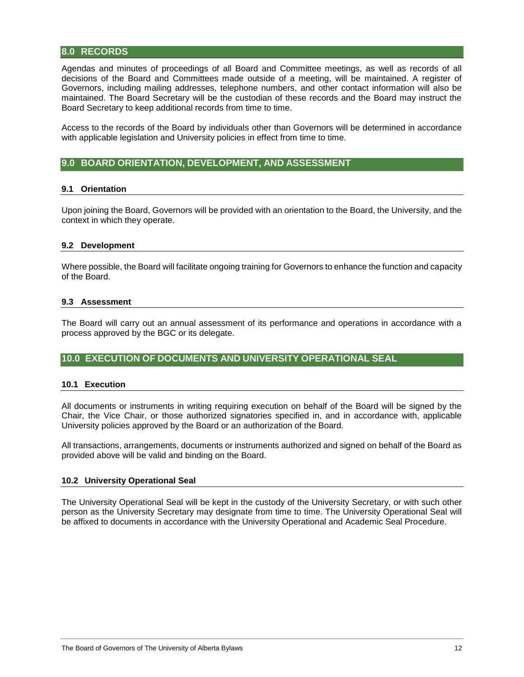# <span id="page-14-0"></span>**8.0 RECORDS**

Agendas and minutes of proceedings of all Board and Committee meetings, as well as records of all decisions of the Board and Committees made outside of a meeting, will be maintained. A register of Governors, including mailing addresses, telephone numbers, and other contact information will also be maintained. The Board Secretary will be the custodian of these records and the Board may instruct the Board Secretary to keep additional records from time to time.

Access to the records of the Board by individuals other than Governors will be determined in accordance with applicable legislation and University policies in effect from time to time.

# <span id="page-14-2"></span><span id="page-14-1"></span>**9.0 BOARD ORIENTATION, DEVELOPMENT, AND ASSESSMENT**

#### **9.1 Orientation**

Upon joining the Board, Governors will be provided with an orientation to the Board, the University, and the context in which they operate.

#### <span id="page-14-3"></span>**9.2 Development**

Where possible, the Board will facilitate ongoing training for Governors to enhance the function and capacity of the Board.

#### <span id="page-14-4"></span>**9.3 Assessment**

The Board will carry out an annual assessment of its performance and operations in accordance with a process approved by the BGC or its delegate.

## <span id="page-14-6"></span><span id="page-14-5"></span>**10.0 EXECUTION OF DOCUMENTS AND UNIVERSITY OPERATIONAL SEAL**

#### **10.1 Execution**

All documents or instruments in writing requiring execution on behalf of the Board will be signed by the Chair, the Vice Chair, or those authorized signatories specified in, and in accordance with, applicable University policies approved by the Board or an authorization of the Board.

All transactions, arrangements, documents or instruments authorized and signed on behalf of the Board as provided above will be valid and binding on the Board.

#### <span id="page-14-7"></span>**10.2 University Operational Seal**

The University Operational Seal will be kept in the custody of the University Secretary, or with such other person as the University Secretary may designate from time to time. The University Operational Seal will be affixed to documents in accordance with the University Operational and Academic Seal Procedure.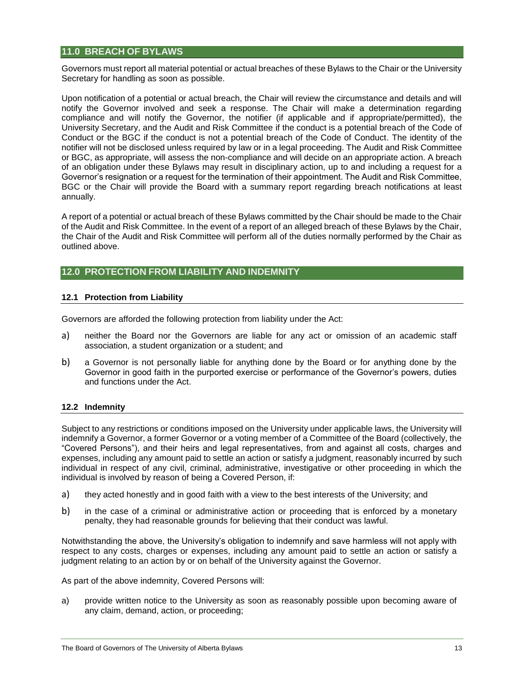# <span id="page-15-0"></span>**11.0 BREACH OF BYLAWS**

Governors must report all material potential or actual breaches of these Bylaws to the Chair or the University Secretary for handling as soon as possible.

Upon notification of a potential or actual breach, the Chair will review the circumstance and details and will notify the Governor involved and seek a response. The Chair will make a determination regarding compliance and will notify the Governor, the notifier (if applicable and if appropriate/permitted), the University Secretary, and the Audit and Risk Committee if the conduct is a potential breach of the Code of Conduct or the BGC if the conduct is not a potential breach of the Code of Conduct. The identity of the notifier will not be disclosed unless required by law or in a legal proceeding. The Audit and Risk Committee or BGC, as appropriate, will assess the non-compliance and will decide on an appropriate action. A breach of an obligation under these Bylaws may result in disciplinary action, up to and including a request for a Governor's resignation or a request for the termination of their appointment. The Audit and Risk Committee, BGC or the Chair will provide the Board with a summary report regarding breach notifications at least annually.

A report of a potential or actual breach of these Bylaws committed by the Chair should be made to the Chair of the Audit and Risk Committee. In the event of a report of an alleged breach of these Bylaws by the Chair, the Chair of the Audit and Risk Committee will perform all of the duties normally performed by the Chair as outlined above.

# <span id="page-15-2"></span><span id="page-15-1"></span>**12.0 PROTECTION FROM LIABILITY AND INDEMNITY**

#### **12.1 Protection from Liability**

Governors are afforded the following protection from liability under the Act:

- a) neither the Board nor the Governors are liable for any act or omission of an academic staff association, a student organization or a student; and
- b) a Governor is not personally liable for anything done by the Board or for anything done by the Governor in good faith in the purported exercise or performance of the Governor's powers, duties and functions under the Act.

#### <span id="page-15-3"></span>**12.2 Indemnity**

Subject to any restrictions or conditions imposed on the University under applicable laws, the University will indemnify a Governor, a former Governor or a voting member of a Committee of the Board (collectively, the "Covered Persons"), and their heirs and legal representatives, from and against all costs, charges and expenses, including any amount paid to settle an action or satisfy a judgment, reasonably incurred by such individual in respect of any civil, criminal, administrative, investigative or other proceeding in which the individual is involved by reason of being a Covered Person, if:

- a) they acted honestly and in good faith with a view to the best interests of the University; and
- b) in the case of a criminal or administrative action or proceeding that is enforced by a monetary penalty, they had reasonable grounds for believing that their conduct was lawful.

Notwithstanding the above, the University's obligation to indemnify and save harmless will not apply with respect to any costs, charges or expenses, including any amount paid to settle an action or satisfy a judgment relating to an action by or on behalf of the University against the Governor.

As part of the above indemnity, Covered Persons will:

a) provide written notice to the University as soon as reasonably possible upon becoming aware of any claim, demand, action, or proceeding;